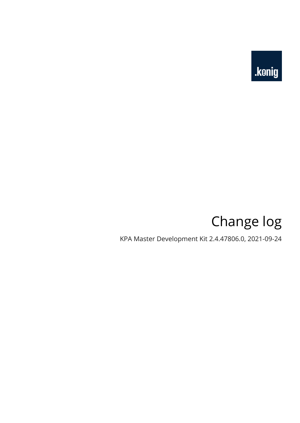

# Change log

KPA Master Development Kit 2.4.47806.0, 2021-09-24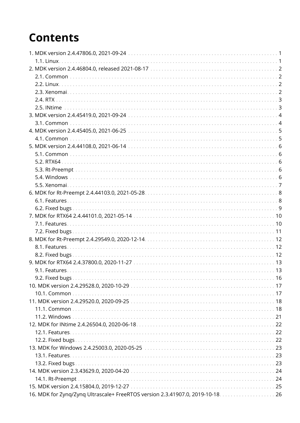# **Contents**

| 1.1. Linux                                                                      |  |
|---------------------------------------------------------------------------------|--|
|                                                                                 |  |
|                                                                                 |  |
|                                                                                 |  |
|                                                                                 |  |
|                                                                                 |  |
|                                                                                 |  |
|                                                                                 |  |
|                                                                                 |  |
|                                                                                 |  |
|                                                                                 |  |
|                                                                                 |  |
|                                                                                 |  |
|                                                                                 |  |
|                                                                                 |  |
|                                                                                 |  |
|                                                                                 |  |
|                                                                                 |  |
|                                                                                 |  |
|                                                                                 |  |
|                                                                                 |  |
|                                                                                 |  |
|                                                                                 |  |
|                                                                                 |  |
|                                                                                 |  |
|                                                                                 |  |
|                                                                                 |  |
|                                                                                 |  |
| 9.2. Fixed bugs.                                                                |  |
|                                                                                 |  |
|                                                                                 |  |
|                                                                                 |  |
|                                                                                 |  |
|                                                                                 |  |
|                                                                                 |  |
|                                                                                 |  |
|                                                                                 |  |
|                                                                                 |  |
|                                                                                 |  |
|                                                                                 |  |
|                                                                                 |  |
|                                                                                 |  |
|                                                                                 |  |
|                                                                                 |  |
| 16. MDK for Zynq/Zynq Ultrascale+ FreeRTOS version 2.3.41907.0, 2019-10-18.  26 |  |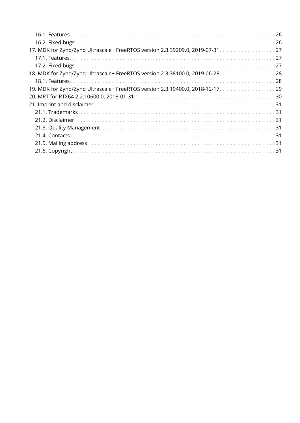| 17. MDK for Zyng/Zyng Ultrascale+ FreeRTOS version 2.3.39209.0, 2019-07-31.  27 |  |
|---------------------------------------------------------------------------------|--|
|                                                                                 |  |
|                                                                                 |  |
| 18. MDK for Zynq/Zynq Ultrascale+ FreeRTOS version 2.3.38100.0, 2019-06-28. 28  |  |
|                                                                                 |  |
| 19. MDK for Zyng/Zyng Ultrascale+ FreeRTOS version 2.3.19400.0, 2018-12-17. 29  |  |
|                                                                                 |  |
|                                                                                 |  |
|                                                                                 |  |
|                                                                                 |  |
|                                                                                 |  |
|                                                                                 |  |
|                                                                                 |  |
|                                                                                 |  |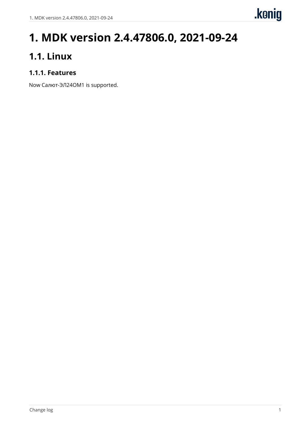# <span id="page-3-0"></span>**1. MDK version 2.4.47806.0, 2021-09-24**

## <span id="page-3-1"></span>**1.1. Linux**

## **1.1.1. Features**

Now Салют-ЭЛ24ОМ1 is supported.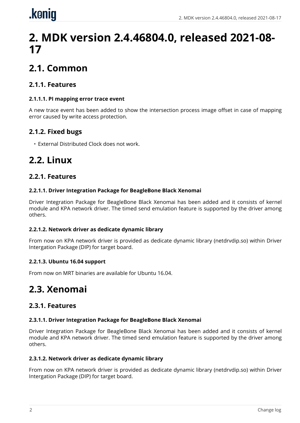# <span id="page-4-0"></span>.koniq

# **2. MDK version 2.4.46804.0, released 2021-08- 17**

# <span id="page-4-1"></span>**2.1. Common**

## **2.1.1. Features**

#### **2.1.1.1. PI mapping error trace event**

A new trace event has been added to show the intersection process image offset in case of mapping error caused by write access protection.

## **2.1.2. Fixed bugs**

• External Distributed Clock does not work.

# <span id="page-4-2"></span>**2.2. Linux**

## **2.2.1. Features**

#### **2.2.1.1. Driver Integration Package for BeagleBone Black Xenomai**

Driver Integration Package for BeagleBone Black Xenomai has been added and it consists of kernel module and KPA network driver. The timed send emulation feature is supported by the driver among others.

#### **2.2.1.2. Network driver as dedicate dynamic library**

From now on KPA network driver is provided as dedicate dynamic library (netdrvdip.so) within Driver Intergation Package (DIP) for target board.

#### **2.2.1.3. Ubuntu 16.04 support**

From now on MRT binaries are available for Ubuntu 16.04.

## <span id="page-4-3"></span>**2.3. Xenomai**

## **2.3.1. Features**

#### **2.3.1.1. Driver Integration Package for BeagleBone Black Xenomai**

Driver Integration Package for BeagleBone Black Xenomai has been added and it consists of kernel module and KPA network driver. The timed send emulation feature is supported by the driver among others.

#### **2.3.1.2. Network driver as dedicate dynamic library**

From now on KPA network driver is provided as dedicate dynamic library (netdrvdip.so) within Driver Intergation Package (DIP) for target board.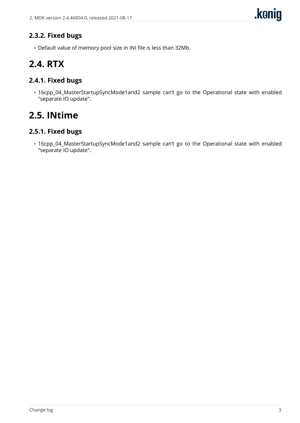## **2.3.2. Fixed bugs**

• Default value of memory pool size in INI file is less than 32Mb.

## <span id="page-5-0"></span>**2.4. RTX**

### **2.4.1. Fixed bugs**

• 16cpp\_04\_MasterStartupSyncMode1and2 sample can't go to the Operational state with enabled "separate IO update".

## <span id="page-5-1"></span>**2.5. INtime**

### **2.5.1. Fixed bugs**

• 16cpp\_04\_MasterStartupSyncMode1and2 sample can't go to the Operational state with enabled "separate IO update".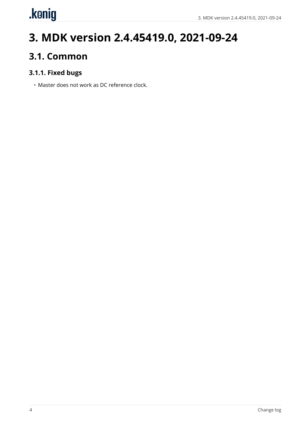# <span id="page-6-0"></span>.kenig

# **3. MDK version 2.4.45419.0, 2021-09-24**

## <span id="page-6-1"></span>**3.1. Common**

## **3.1.1. Fixed bugs**

• Master does not work as DC reference clock.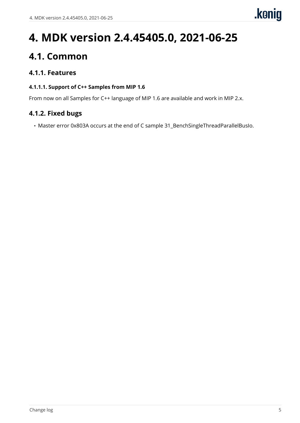# <span id="page-7-0"></span>**4. MDK version 2.4.45405.0, 2021-06-25**

## <span id="page-7-1"></span>**4.1. Common**

## **4.1.1. Features**

#### **4.1.1.1. Support of C++ Samples from MIP 1.6**

From now on all Samples for C++ language of MIP 1.6 are available and work in MIP 2.x.

### **4.1.2. Fixed bugs**

• Master error 0x803A occurs at the end of C sample 31\_BenchSingleThreadParallelBusIo.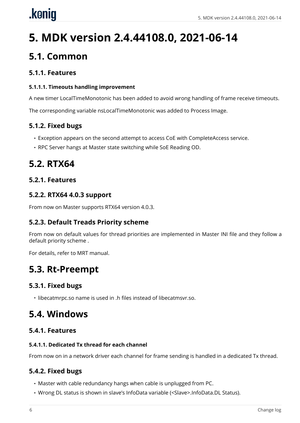# <span id="page-8-0"></span>.konig

# **5. MDK version 2.4.44108.0, 2021-06-14**

## <span id="page-8-1"></span>**5.1. Common**

## **5.1.1. Features**

#### **5.1.1.1. Timeouts handling improvement**

A new timer LocalTimeMonotonic has been added to avoid wrong handling of frame receive timeouts.

The corresponding variable nsLocalTimeMonotonic was added to Process Image.

## **5.1.2. Fixed bugs**

- Exception appears on the second attempt to access CoE with CompleteAccess service.
- RPC Server hangs at Master state switching while SoE Reading OD.

## <span id="page-8-2"></span>**5.2. RTX64**

## **5.2.1. Features**

### **5.2.2. RTX64 4.0.3 support**

From now on Master supports RTX64 version 4.0.3.

## **5.2.3. Default Treads Priority scheme**

From now on default values for thread priorities are implemented in Master INI file and they follow a default priority scheme .

For details, refer to MRT manual.

## <span id="page-8-3"></span>**5.3. Rt-Preempt**

## **5.3.1. Fixed bugs**

• libecatmrpc.so name is used in .h files instead of libecatmsvr.so.

## <span id="page-8-4"></span>**5.4. Windows**

## **5.4.1. Features**

#### **5.4.1.1. Dedicated Tx thread for each channel**

From now on in a network driver each channel for frame sending is handled in a dedicated Tx thread.

## **5.4.2. Fixed bugs**

- Master with cable redundancy hangs when cable is unplugged from PC.
- Wrong DL status is shown in slave's InfoData variable (<Slave>.InfoData.DL Status).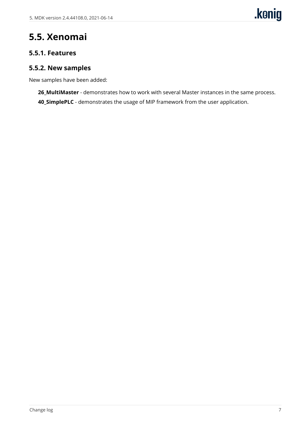# <span id="page-9-0"></span>**5.5. Xenomai**

#### **5.5.1. Features**

### **5.5.2. New samples**

New samples have been added:

**26\_MultiMaster** - demonstrates how to work with several Master instances in the same process. **40\_SimplePLC** - demonstrates the usage of MIP framework from the user application.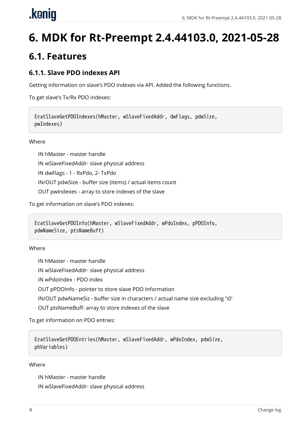# <span id="page-10-0"></span>**6. MDK for Rt-Preempt 2.4.44103.0, 2021-05-28**

## <span id="page-10-1"></span>**6.1. Features**

### **6.1.1. Slave PDO indexes API**

Getting information on slave's PDO indexes via API. Added the following functions.

To get slave's Tx/Rx PDO indexes:

```
EcatSlaveGetPDOIndexes(hMaster, wSlaveFixedAddr, dwFlags, pdwSize,
pwIndexes)
```
**Where** 

IN hMaster - master handle

IN wSlaveFixedAddr- slave physical address

IN dwFlags - 1 - RxPdo, 2- TxPdo

IN/OUT pdwSize - buffer size (items) / actual items count

OUT pwIndexes - array to store indexes of the slave

To get information on slave's PDO indexes:

```
EcatSlaveGetPDOInfo(hMaster, wSlaveFixedAddr, wPdoIndex, pPDOInfo,
pdwNameSize, ptsNameBuff)
```
Where

IN hMaster - master handle

IN wSlaveFixedAddr- slave physical address

IN wPdoIndex - PDO index

OUT pPDOInfo - pointer to store slave PDO Information

IN/OUT pdwNameSiz - buffer size in characters / actual name size excluding '\0'

OUT ptsNameBuff- array to store indexes of the slave

To get information on PDO entries:

EcatSlaveGetPDOEntries(hMaster, wSlaveFixedAddr, wPdoIndex, pdwSize, phVariables)

#### Where

IN hMaster - master handle

IN wSlaveFixedAddr- slave physical address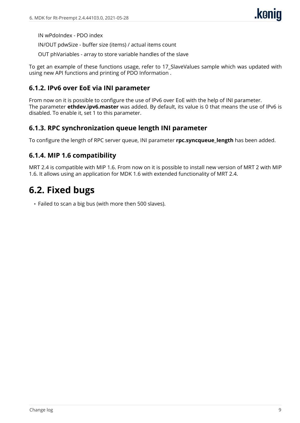IN wPdoIndex - PDO index

IN/OUT pdwSize - buffer size (items) / actual items count

OUT phVariables - array to store variable handles of the slave

To get an example of these functions usage, refer to 17\_SlaveValues sample which was updated with using new API functions and printing of PDO Information .

#### **6.1.2. IPv6 over EoE via INI parameter**

From now on it is possible to configure the use of IPv6 over EoE with the help of INI parameter. The parameter **ethdev.ipv6.master** was added. By default, its value is 0 that means the use of IPv6 is disabled. To enable it, set 1 to this parameter.

#### **6.1.3. RPC synchronization queue length INI parameter**

To configure the length of RPC server queue, INI parameter **rpc.syncqueue length** has been added.

#### **6.1.4. MIP 1.6 compatibility**

MRT 2.4 is compatible with MIP 1.6. From now on it is possible to install new version of MRT 2 with MIP 1.6. It allows using an application for MDK 1.6 with extended functionality of MRT 2.4.

## <span id="page-11-0"></span>**6.2. Fixed bugs**

• Failed to scan a big bus (with more then 500 slaves).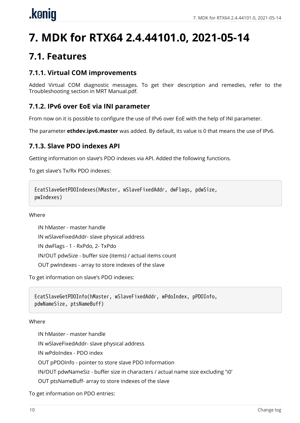# <span id="page-12-0"></span>**7. MDK for RTX64 2.4.44101.0, 2021-05-14**

## <span id="page-12-1"></span>**7.1. Features**

### **7.1.1. Virtual COM improvements**

Added Virtual COM diagnostic messages. To get their description and remedies, refer to the Troubleshooting section in MRT Manual.pdf.

### **7.1.2. IPv6 over EoE via INI parameter**

From now on it is possible to configure the use of IPv6 over EoE with the help of INI parameter.

The parameter **ethdev.ipv6.master** was added. By default, its value is 0 that means the use of IPv6.

#### **7.1.3. Slave PDO indexes API**

Getting information on slave's PDO indexes via API. Added the following functions.

To get slave's Tx/Rx PDO indexes:

```
EcatSlaveGetPDOIndexes(hMaster, wSlaveFixedAddr, dwFlags, pdwSize,
pwIndexes)
```
#### Where

IN hMaster - master handle IN wSlaveFixedAddr- slave physical address IN dwFlags - 1 - RxPdo, 2- TxPdo IN/OUT pdwSize - buffer size (items) / actual items count OUT pwIndexes - array to store indexes of the slave

To get information on slave's PDO indexes:

```
EcatSlaveGetPDOInfo(hMaster, wSlaveFixedAddr, wPdoIndex, pPDOInfo,
pdwNameSize, ptsNameBuff)
```
#### Where

IN hMaster - master handle IN wSlaveFixedAddr- slave physical address IN wPdoIndex - PDO index OUT pPDOInfo - pointer to store slave PDO Information IN/OUT pdwNameSiz - buffer size in characters / actual name size excluding '\0' OUT ptsNameBuff- array to store indexes of the slave

To get information on PDO entries: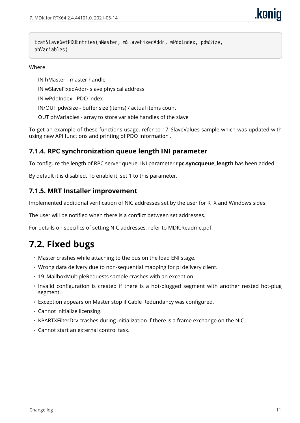EcatSlaveGetPDOEntries(hMaster, wSlaveFixedAddr, wPdoIndex, pdwSize, phVariables)

#### Where

IN hMaster - master handle

IN wSlaveFixedAddr- slave physical address

IN wPdoIndex - PDO index

IN/OUT pdwSize - buffer size (items) / actual items count

OUT phVariables - array to store variable handles of the slave

To get an example of these functions usage, refer to 17\_SlaveValues sample which was updated with using new API functions and printing of PDO Information .

#### **7.1.4. RPC synchronization queue length INI parameter**

To configure the length of RPC server queue, INI parameter **rpc.syncqueue length** has been added.

By default it is disabled. To enable it, set 1 to this parameter.

#### **7.1.5. MRT Installer improvement**

Implemented additional verification of NIC addresses set by the user for RTX and Windows sides.

The user will be notified when there is a conflict between set addresses.

For details on specifics of setting NIC addresses, refer to MDK.Readme.pdf.

## <span id="page-13-0"></span>**7.2. Fixed bugs**

- Master crashes while attaching to the bus on the load ENI stage.
- Wrong data delivery due to non-sequential mapping for pi delivery client.
- 19\_MailboxMultipleRequests sample crashes with an exception.
- Invalid configuration is created if there is a hot-plugged segment with another nested hot-plug segment.
- Exception appears on Master stop if Cable Redundancy was configured.
- Cannot initialize licensing.
- KPARTXFilterDrv crashes during initialization if there is a frame exchange on the NIС.
- Cannot start an external control task.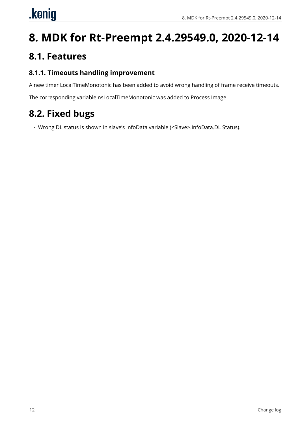# <span id="page-14-0"></span>.konig

# **8. MDK for Rt-Preempt 2.4.29549.0, 2020-12-14**

## <span id="page-14-1"></span>**8.1. Features**

## **8.1.1. Timeouts handling improvement**

A new timer LocalTimeMonotonic has been added to avoid wrong handling of frame receive timeouts.

The corresponding variable nsLocalTimeMonotonic was added to Process Image.

# <span id="page-14-2"></span>**8.2. Fixed bugs**

• Wrong DL status is shown in slave's InfoData variable (<Slave>.InfoData.DL Status).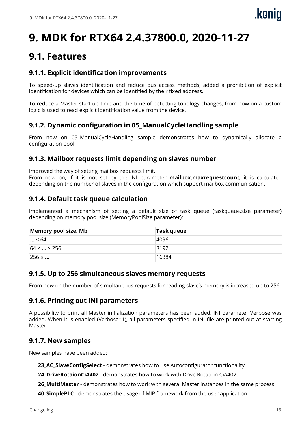# <span id="page-15-0"></span>**9. MDK for RTX64 2.4.37800.0, 2020-11-27**

## <span id="page-15-1"></span>**9.1. Features**

### **9.1.1. Explicit identification improvements**

To speed-up slaves identification and reduce bus access methods, added a prohibition of explicit identification for devices which can be identified by their fixed address.

To reduce a Master start up time and the time of detecting topology changes, from now on a custom logic is used to read explicit identification value from the device.

## **9.1.2. Dynamic configuration in 05\_ManualCycleHandling sample**

From now on 05\_ManualCycleHandling sample demonstrates how to dynamically allocate a configuration pool.

#### **9.1.3. Mailbox requests limit depending on slaves number**

Improved the way of setting mailbox requests limit.

From now on, if it is not set by the INI parameter **mailbox.maxrequestcount**, it is calculated depending on the number of slaves in the configuration which support mailbox communication.

#### **9.1.4. Default task queue calculation**

Implemented a mechanism of setting a default size of task queue (taskqueue.size parameter) depending on memory pool size (MemoryPoolSize parameter):

| Memory pool size, Mb | Task queue |
|----------------------|------------|
| $\ldots$ < 64        | 4096       |
| $64 \leq  \geq 256$  | 8192       |
| $256 \leq $          | 16384      |

#### **9.1.5. Up to 256 simultaneous slaves memory requests**

From now on the number of simultaneous requests for reading slave's memory is increased up to 256.

#### **9.1.6. Printing out INI parameters**

A possibility to print all Master initialization parameters has been added. INI parameter Verbose was added. When it is enabled (Verbose=1), all parameters specified in INI file are printed out at starting Master.

#### **9.1.7. New samples**

New samples have been added:

**23\_AC\_SlaveConfigSelect** - demonstrates how to use Autoconfigurator functionality.

**24\_DriveRotaionCiA402** - demonstrates how to work with Drive Rotation CiA402.

26 MultiMaster - demonstrates how to work with several Master instances in the same process.

**40 SimplePLC** - demonstrates the usage of MIP framework from the user application.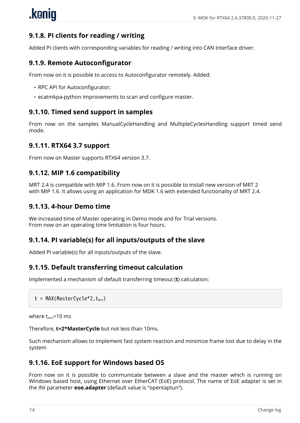## **9.1.8. PI clients for reading / writing**

Added PI clients with corresponding variables for reading / writing into CAN Interface driver.

#### **9.1.9. Remote Autoconfigurator**

From now on it is possible to access to Autoconfigurator remotely. Added:

- RPC API for Autoconfigurator;
- ecatmkpa-python improvements to scan and configure master.

#### **9.1.10. Timed send support in samples**

From now on the samples ManualCycleHandling and MultipleCyclesHandling support timed send mode.

#### **9.1.11. RTX64 3.7 support**

From now on Master supports RTX64 version 3.7.

#### **9.1.12. MIP 1.6 compatibility**

MRT 2.4 is compatible with MIP 1.6. From now on it is possible to install new version of MRT 2 with MIP 1.6. It allows using an application for MDK 1.6 with extended functionality of MRT 2.4.

#### **9.1.13. 4-hour Demo time**

We increased time of Master operating in Demo mode and for Trial versions. From now on an operating time limitation is four hours.

#### **9.1.14. PI variable(s) for all inputs/outputs of the slave**

Added PI variable(s) for all inputs/outputs of the slave.

#### **9.1.15. Default transferring timeout calculation**

Implemented a mechanism of default transferring timeout (**t**) calculation:

```
t = MAX(MasterCycle*2, t_{min})
```
where  $t_{\text{min}}$ =10 ms

Therefore, **t=2\*MasterCycle** but not less than 10ms.

Such mechanism allows to implement fast system reaction and minimize frame lost due to delay in the system

#### **9.1.16. EoE support for Windows based OS**

From now on it is possible to communicate between a slave and the master which is running on Windows based host, using Ethernet over EtherCAT (EoE) protocol. The name of EoE adapter is set in the INI parameter **eoe.adapter** (default value is "opentaptun").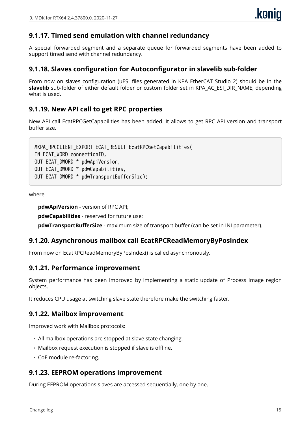### **9.1.17. Timed send emulation with channel redundancy**

A special forwarded segment and a separate queue for forwarded segments have been added to support timed send with channel redundancy.

#### **9.1.18. Slaves configuration for Autoconfigurator in slavelib sub-folder**

From now on slaves configuration (uESI files generated in KPA EtherCAT Studio 2) should be in the slavelib sub-folder of either default folder or custom folder set in KPA AC\_ESI\_DIR\_NAME, depending what is used.

#### **9.1.19. New API call to get RPC properties**

New API call EcatRPCGetCapabilities has been added. It allows to get RPC API version and transport buffer size.

MKPA RPCCLIENT EXPORT ECAT RESULT EcatRPCGetCapabilities( IN ECAT\_WORD connectionID, OUT ECAT\_DWORD \* pdwApiVersion, OUT ECAT\_DWORD \* pdwCapabilities, OUT ECAT\_DWORD \* pdwTransportBufferSize);

where

**pdwApiVersion** - version of RPC API;

**pdwCapabilities** - reserved for future use;

**pdwTransportBufferSize** - maximum size of transport buffer (can be set in INI parameter).

#### **9.1.20. Asynchronous mailbox call EcatRPCReadMemoryByPosIndex**

From now on EcatRPCReadMemoryByPosIndex() is called asynchronously.

#### **9.1.21. Performance improvement**

System performance has been improved by implementing a static update of Process Image region objects.

It reduces CPU usage at switching slave state therefore make the switching faster.

#### **9.1.22. Mailbox improvement**

Improved work with Mailbox protocols:

- All mailbox operations are stopped at slave state changing.
- Mailbox request execution is stopped if slave is offline.
- CoE module re-factoring.

#### **9.1.23. EEPROM operations improvement**

During EEPROM operations slaves are accessed sequentially, one by one.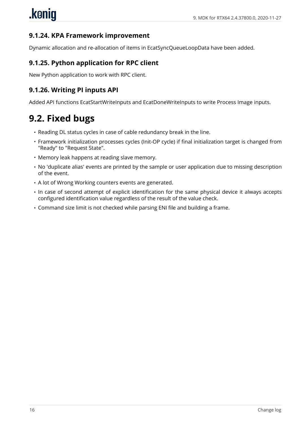### **9.1.24. KPA Framework improvement**

Dynamic allocation and re-allocation of items in EcatSyncQueueLoopData have been added.

#### **9.1.25. Python application for RPC client**

New Python application to work with RPC client.

#### **9.1.26. Writing PI inputs API**

Added API functions EcatStartWriteInputs and EcatDoneWriteInputs to write Process Image inputs.

## <span id="page-18-0"></span>**9.2. Fixed bugs**

- Reading DL status cycles in case of cable redundancy break in the line.
- Framework initialization processes cycles (Init-OP cycle) if final initialization target is changed from "Ready" to "Request State".
- Memory leak happens at reading slave memory.
- No 'duplicate alias' events are printed by the sample or user application due to missing description of the event.
- A lot of Wrong Working counters events are generated.
- In case of second attempt of explicit identification for the same physical device it always accepts configured identification value regardless of the result of the value check.
- Command size limit is not checked while parsing ENI file and building a frame.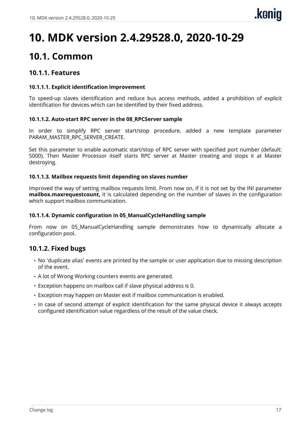# <span id="page-19-0"></span>**10. MDK version 2.4.29528.0, 2020-10-29**

## <span id="page-19-1"></span>**10.1. Common**

#### **10.1.1. Features**

#### **10.1.1.1. Explicit identification improvement**

To speed-up slaves identification and reduce bus access methods, added a prohibition of explicit identification for devices which can be identified by their fixed address.

#### **10.1.1.2. Auto-start RPC server in the 08\_RPCServer sample**

In order to simplify RPC server start/stop procedure, added a new template parameter PARAM\_MASTER\_RPC\_SERVER\_CREATE.

Set this parameter to enable automatic start/stop of RPC server with specified port number (default: 5000). Then Master Processor itself starts RPC server at Master creating and stops it at Master destroying.

#### **10.1.1.3. Mailbox requests limit depending on slaves number**

Improved the way of setting mailbox requests limit. From now on, if it is not set by the INI parameter **mailbox.maxrequestcount,** it is calculated depending on the number of slaves in the configuration which support mailbox communication.

#### **10.1.1.4. Dynamic configuration in 05\_ManualCycleHandling sample**

From now on 05\_ManualCycleHandling sample demonstrates how to dynamically allocate a configuration pool.

#### **10.1.2. Fixed bugs**

- No 'duplicate alias' events are printed by the sample or user application due to missing description of the event.
- A lot of Wrong Working counters events are generated.
- Exception happens on mailbox call if slave physical address is 0.
- Exception may happen on Master exit if mailbox communication is enabled.
- In case of second attempt of explicit identification for the same physical device it always accepts configured identification value regardless of the result of the value check.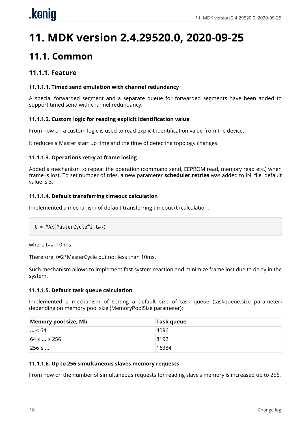# <span id="page-20-0"></span>**11. MDK version 2.4.29520.0, 2020-09-25**

## <span id="page-20-1"></span>**11.1. Common**

### **11.1.1. Feature**

#### **11.1.1.1. Timed send emulation with channel redundancy**

A special forwarded segment and a separate queue for forwarded segments have been added to support timed send with channel redundancy.

#### **11.1.1.2. Custom logic for reading explicit identification value**

From now on a custom logic is used to read explicit identification value from the device.

It reduces a Master start up time and the time of detecting topology changes.

#### **11.1.1.3. Operations retry at frame losing**

Added a mechanism to repeat the operation (command send, EEPROM read, memory read etc.) when frame is lost. To set number of tries, a new parameter **scheduler.retries** was added to INI file, default value is 3.

#### **11.1.1.4. Default transferring timeout calculation**

Implemented a mechanism of default transferring timeout (**t**) calculation:

```
t = MAX(MasterCycle*2, t_{min})
```
where  $t_{min}$ =10 ms

Therefore, t=2\*MasterCycle but not less than 10ms.

Such mechanism allows to implement fast system reaction and minimize frame lost due to delay in the system.

#### **11.1.1.5. Default task queue calculation**

Implemented a mechanism of setting a default size of task queue (taskqueue.size parameter) depending on memory pool size (MemoryPoolSize parameter):

| Memory pool size, Mb | Task queue |
|----------------------|------------|
| $\ldots$ < 64        | 4096       |
| $64 \leq  \geq 256$  | 8192       |
| $256 \leq $          | 16384      |

#### **11.1.1.6. Up to 256 simultaneous slaves memory requests**

From now on the number of simultaneous requests for reading slave's memory is increased up to 256.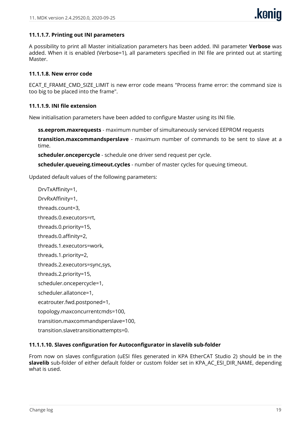#### **11.1.1.7. Printing out INI parameters**

A possibility to print all Master initialization parameters has been added. INI parameter **Verbose** was added. When it is enabled (Verbose=1), all parameters specified in INI file are printed out at starting Master.

#### **11.1.1.8. New error code**

ECAT\_E\_FRAME\_CMD\_SIZE\_LIMIT is new error code means "Process frame error: the command size is too big to be placed into the frame".

#### **11.1.1.9. INI file extension**

New initialisation parameters have been added to configure Master using its INI file.

**ss.eeprom.maxrequests** - maximum number of simultaneously serviced EEPROM requests

**transition.maxcommandsperslave** - maximum number of commands to be sent to slave at a time.

**scheduler.oncepercycle** - schedule one driver send request per cycle.

**scheduler.queueing.timeout.cycles** - number of master cycles for queuing timeout.

Updated default values of the following parameters:

DrvTxAffinity=1, DrvRxAffinity=1, threads.count=3, threads.0.executors=rt, threads.0.priority=15, threads.0.affinity=2, threads.1.executors=work, threads.1.priority=2, threads.2.executors=sync,sys, threads.2.priority=15, scheduler.oncepercycle=1, scheduler.allatonce=1, ecatrouter.fwd.postponed=1, topology.maxconcurrentcmds=100, transition.maxcommandsperslave=100, transition.slavetransitionattempts=0.

#### **11.1.1.10. Slaves configuration for Autoconfigurator in slavelib sub-folder**

From now on slaves configuration (uESI files generated in KPA EtherCAT Studio 2) should be in the **slavelib** sub-folder of either default folder or custom folder set in KPA\_AC\_ESI\_DIR\_NAME, depending what is used.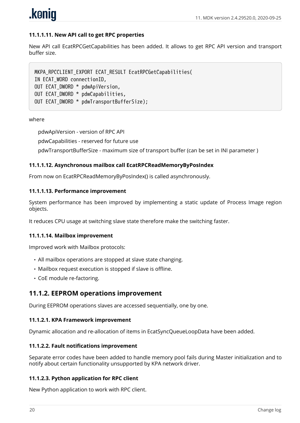

#### **11.1.1.11. New API call to get RPC properties**

New API call EcatRPCGetCapabilities has been added. It allows to get RPC API version and transport buffer size.

MKPA\_RPCCLIENT\_EXPORT ECAT\_RESULT EcatRPCGetCapabilities( IN ECAT\_WORD connectionID, OUT ECAT\_DWORD \* pdwApiVersion, OUT ECAT\_DWORD \* pdwCapabilities, OUT ECAT\_DWORD \* pdwTransportBufferSize);

#### where

pdwApiVersion - version of RPC API

pdwCapabilities - reserved for future use

pdwTransportBufferSize - maximum size of transport buffer (can be set in INI parameter )

#### **11.1.1.12. Asynchronous mailbox call EcatRPCReadMemoryByPosIndex**

From now on EcatRPCReadMemoryByPosIndex() is called asynchronously.

#### **11.1.1.13. Performance improvement**

System performance has been improved by implementing a static update of Process Image region objects.

It reduces CPU usage at switching slave state therefore make the switching faster.

#### **11.1.1.14. Mailbox improvement**

Improved work with Mailbox protocols:

- All mailbox operations are stopped at slave state changing.
- Mailbox request execution is stopped if slave is offline.
- CoE module re-factoring.

#### **11.1.2. EEPROM operations improvement**

During EEPROM operations slaves are accessed sequentially, one by one.

#### **11.1.2.1. KPA Framework improvement**

Dynamic allocation and re-allocation of items in EcatSyncQueueLoopData have been added.

#### **11.1.2.2. Fault notifications improvement**

Separate error codes have been added to handle memory pool fails during Master initialization and to notify about certain functionality unsupported by KPA network driver.

#### **11.1.2.3. Python application for RPC client**

New Python application to work with RPC client.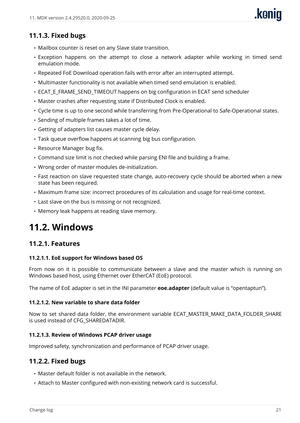## **11.1.3. Fixed bugs**

- Mailbox counter is reset on any Slave state transition.
- Exception happens on the attempt to close a network adapter while working in timed send emulation mode.
- Repeated FoE Download operation fails with error after an interrupted attempt.
- Multimaster functionality is not available when timed send emulation is enabled.
- ECAT E\_FRAME\_SEND\_TIMEOUT happens on big configuration in ECAT send scheduler
- Master crashes after requesting state if Distributed Clock is enabled.
- Cycle time is up to one second while transferring from Pre-Operational to Safe-Operational states.
- Sending of multiple frames takes a lot of time.
- Getting of adapters list causes master cycle delay.
- Task queue overflow happens at scanning big bus configuration.
- Resource Manager bug fix.
- Command size limit is not checked while parsing ENI file and building a frame.
- Wrong order of master modules de-initialization.
- Fast reaction on slave requested state change, auto-recovery cycle should be aborted when a new state has been required.
- Maximum frame size: incorrect procedures of its calculation and usage for real-time context.
- Last slave on the bus is missing or not recognized.
- Memory leak happens at reading slave memory.

## <span id="page-23-0"></span>**11.2. Windows**

#### **11.2.1. Features**

#### **11.2.1.1. EoE support for Windows based OS**

From now on it is possible to communicate between a slave and the master which is running on Windows based host, using Ethernet over EtherCAT (EoE) protocol.

The name of EoE adapter is set in the INI parameter **eoe.adapter** (default value is "opentaptun").

#### **11.2.1.2. New variable to share data folder**

Now to set shared data folder, the environment variable ECAT\_MASTER\_MAKE\_DATA\_FOLDER\_SHARE is used instead of CFG\_SHAREDATADIR.

#### **11.2.1.3. Review of Windows PCAP driver usage**

Improved safety, synchronization and performance of PCAP driver usage.

#### **11.2.2. Fixed bugs**

- Master default folder is not available in the network.
- Attach to Master configured with non-existing network card is successful.

**kanin**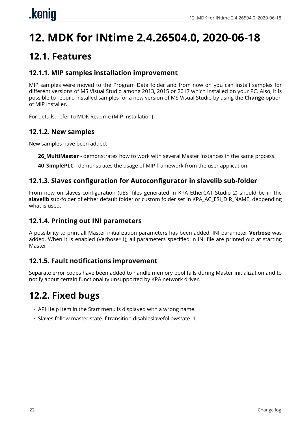# <span id="page-24-0"></span>**12. MDK for INtime 2.4.26504.0, 2020-06-18**

## <span id="page-24-1"></span>**12.1. Features**

### **12.1.1. MIP samples installation improvement**

MIP samples were moved to the Program Data folder and from now on you can install samples for different versions of MS Visual Studio among 2013, 2015 or 2017 which installed on your PC. Also, it is possible to rebuild installed samples for a new version of MS Visual Studio by using the **Change** option of MIP installer.

For details, refer to MDK Readme (MIP installation).

#### **12.1.2. New samples**

New samples have been added:

**26\_MultiMaster** - demonstrates how to work with several Master instances in the same process.

**40\_SimplePLC** - demonstrates the usage of MIP framework from the user application.

#### **12.1.3. Slaves configuration for Autoconfigurator in slavelib sub-folder**

From now on slaves configuration (uESI files generated in KPA EtherCAT Studio 2) should be in the **slavelib** sub-folder of either default folder or custom folder set in KPA\_AC\_ESI\_DIR\_NAME, deppending what is used.

#### **12.1.4. Printing out INI parameters**

A possibility to print all Master initialization parameters has been added. INI parameter **Verbose** was added. When it is enabled (Verbose=1), all parameters specified in INI file are printed out at starting Master.

#### **12.1.5. Fault notifications improvement**

Separate error codes have been added to handle memory pool fails during Master initialization and to notify about certain functionality unsupported by KPA network driver.

## <span id="page-24-2"></span>**12.2. Fixed bugs**

- API Help item in the Start menu is displayed with a wrong name.
- Slaves follow master state if transition.disableslavefollowstate=1.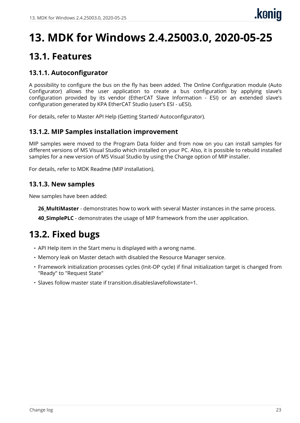# <span id="page-25-0"></span>**13. MDK for Windows 2.4.25003.0, 2020-05-25**

## <span id="page-25-1"></span>**13.1. Features**

### **13.1.1. Autoconfigurator**

A possibility to configure the bus on the fly has been added. The Online Configuration module (Auto Configurator) allows the user application to create a bus configuration by applying slave's configuration provided by its vendor (EtherCAT Slave Information - ESI) or an extended slave's configuration generated by KPA EtherCAT Studio (user's ESI - uESI).

For details, refer to Master API Help (Getting Started/ Autoconfigurator).

#### **13.1.2. MIP Samples installation improvement**

MIP samples were moved to the Program Data folder and from now on you can install samples for different versions of MS Visual Studio which installed on your PC. Also, it is possible to rebuild installed samples for a new version of MS Visual Studio by using the Change option of MIP installer.

For details, refer to MDK Readme (MIP installation).

#### **13.1.3. New samples**

New samples have been added:

**26 MultiMaster** - demonstrates how to work with several Master instances in the same process.

**40 SimplePLC** - demonstrates the usage of MIP framework from the user application.

## <span id="page-25-2"></span>**13.2. Fixed bugs**

- API Help item in the Start menu is displayed with a wrong name.
- Memory leak on Master detach with disabled the Resource Manager service.
- Framework initialization processes cycles (Init-OP cycle) if final initialization target is changed from "Ready" to "Request State"
- Slaves follow master state if transition.disableslavefollowstate=1.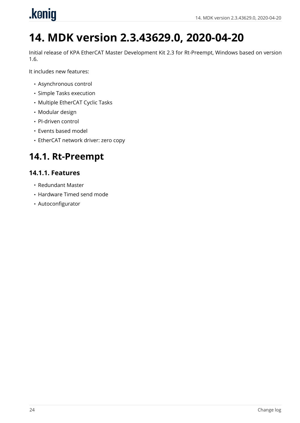<span id="page-26-0"></span>

# **14. MDK version 2.3.43629.0, 2020-04-20**

Initial release of KPA EtherCAT Master Development Kit 2.3 for Rt-Preempt, Windows based on version 1.6.

It includes new features:

- Asynchronous control
- Simple Tasks execution
- Multiple EtherCAT Cyclic Tasks
- Modular design
- PI-driven control
- Events based model
- EtherCAT network driver: zero copy

## <span id="page-26-1"></span>**14.1. Rt-Preempt**

#### **14.1.1. Features**

- Redundant Master
- Hardware Timed send mode
- Autoconfigurator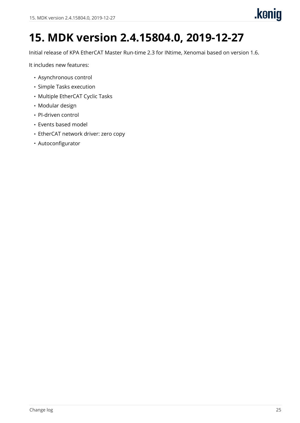# <span id="page-27-0"></span>**15. MDK version 2.4.15804.0, 2019-12-27**

Initial release of KPA EtherCAT Master Run-time 2.3 for INtime, Xenomai based on version 1.6.

It includes new features:

- Asynchronous control
- Simple Tasks execution
- Multiple EtherCAT Cyclic Tasks
- Modular design
- PI-driven control
- Events based model
- EtherCAT network driver: zero copy
- Autoconfigurator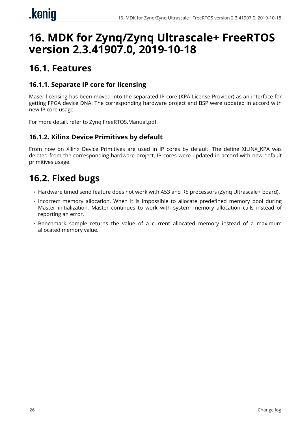# <span id="page-28-0"></span>**16. MDK for Zynq/Zynq Ultrascale+ FreeRTOS version 2.3.41907.0, 2019-10-18**

## <span id="page-28-1"></span>**16.1. Features**

## **16.1.1. Separate IP core for licensing**

Maser licensing has been moved into the separated IP core (KPA License Provider) as an interface for getting FPGA device DNA. The corresponding hardware project and BSP were updated in accord with new IP core usage.

For more detail, refer to Zynq.FreeRTOS.Manual.pdf.

### **16.1.2. Xilinx Device Primitives by default**

From now on Xilinx Device Primitives are used in IP cores by default. The define XILINX\_KPA was deleted from the corresponding hardware project, IP cores were updated in accord with new default primitives usage.

## <span id="page-28-2"></span>**16.2. Fixed bugs**

- Hardware timed send feature does not work with A53 and R5 processors (Zynq Ultrascale+ board).
- Incorrect memory allocation. When it is impossible to allocate predefined memory pool during Master initialization, Master continues to work with system memory allocation calls instead of reporting an error.
- Benchmark sample returns the value of a current allocated memory instead of a maximum allocated memory value.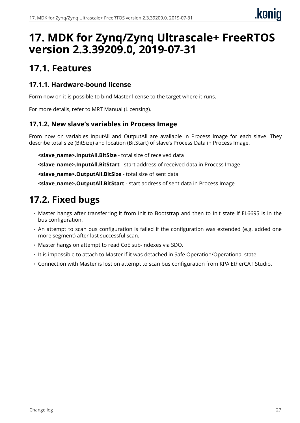# <span id="page-29-0"></span>**17. MDK for Zynq/Zynq Ultrascale+ FreeRTOS version 2.3.39209.0, 2019-07-31**

## <span id="page-29-1"></span>**17.1. Features**

#### **17.1.1. Hardware-bound license**

Form now on it is possible to bind Master license to the target where it runs.

For more details, refer to MRT Manual (Licensing).

### **17.1.2. New slave's variables in Process Image**

From now on variables InputAll and OutputAll are available in Process image for each slave. They describe total size (BitSize) and location (BitStart) of slave's Process Data in Process Image.

**<slave\_name>.InputAll.BitSize** - total size of received data

**<slave\_name>.InputAll.BitStart** - start address of received data in Process Image

**<slave\_name>.OutputAll.BitSize** - total size of sent data

**<slave\_name>.OutputAll.BitStart** - start address of sent data in Process Image

## <span id="page-29-2"></span>**17.2. Fixed bugs**

- Master hangs after transferring it from Init to Bootstrap and then to Init state if EL6695 is in the bus configuration.
- An attempt to scan bus configuration is failed if the configuration was extended (e.g. added one more segment) after last successful scan.
- Master hangs on attempt to read CoE sub-indexes via SDO.
- It is impossible to attach to Master if it was detached in Safe Operation/Operational state.
- Connection with Master is lost on attempt to scan bus configuration from KPA EtherCAT Studio.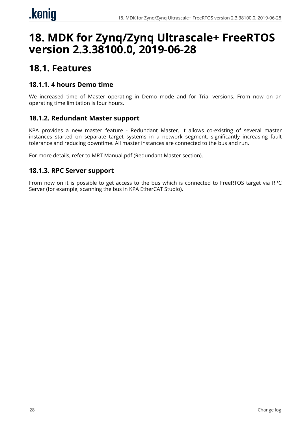# <span id="page-30-0"></span>**18. MDK for Zynq/Zynq Ultrascale+ FreeRTOS version 2.3.38100.0, 2019-06-28**

## <span id="page-30-1"></span>**18.1. Features**

#### **18.1.1. 4 hours Demo time**

We increased time of Master operating in Demo mode and for Trial versions. From now on an operating time limitation is four hours.

#### **18.1.2. Redundant Master support**

KPA provides a new master feature - Redundant Master. It allows co-existing of several master instances started on separate target systems in a network segment, significantly increasing fault tolerance and reducing downtime. All master instances are connected to the bus and run.

For more details, refer to MRT Manual.pdf (Redundant Master section).

#### **18.1.3. RPC Server support**

From now on it is possible to get access to the bus which is connected to FreeRTOS target via RPC Server (for example, scanning the bus in KPA EtherCAT Studio).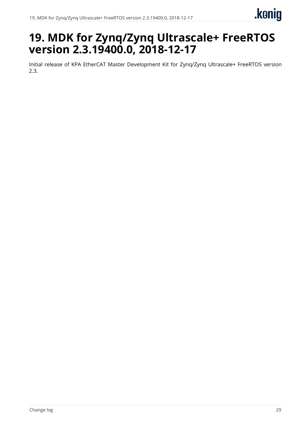# <span id="page-31-0"></span>**19. MDK for Zynq/Zynq Ultrascale+ FreeRTOS version 2.3.19400.0, 2018-12-17**

Initial release of KPA EtherCAT Master Development Kit for Zynq/Zynq Ultrascale+ FreeRTOS version 2.3.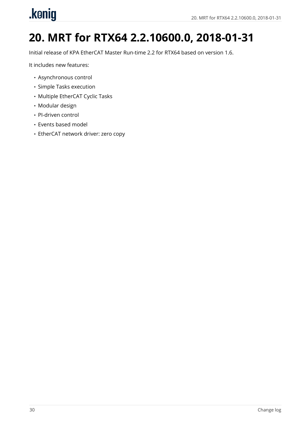# <span id="page-32-0"></span>.konig

# **20. MRT for RTX64 2.2.10600.0, 2018-01-31**

Initial release of KPA EtherCAT Master Run-time 2.2 for RTX64 based on version 1.6.

It includes new features:

- Asynchronous control
- Simple Tasks execution
- Multiple EtherCAT Cyclic Tasks
- Modular design
- PI-driven control
- Events based model
- EtherCAT network driver: zero copy